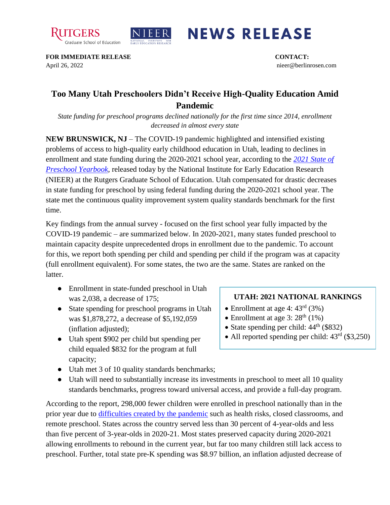



## **NEWS RELEASE**

**FOR IMMEDIATE RELEASE CONTACT:**  April 26, 2022 nieer@berlinrosen.com

## **Too Many Utah Preschoolers Didn't Receive High-Quality Education Amid Pandemic**

*State funding for preschool programs declined nationally for the first time since 2014, enrollment decreased in almost every state*

**NEW BRUNSWICK, NJ** – The COVID-19 pandemic highlighted and intensified existing problems of access to high-quality early childhood education in Utah, leading to declines in enrollment and state funding during the 2020-2021 school year, according to the *[2021 State of](https://nieer.org/state-preschool-yearbooks-yearbook2021)  [Preschool Yearbook,](https://nieer.org/state-preschool-yearbooks-yearbook2021)* released today by the National Institute for Early Education Research (NIEER) at the Rutgers Graduate School of Education. Utah compensated for drastic decreases in state funding for preschool by using federal funding during the 2020-2021 school year. The state met the continuous quality improvement system quality standards benchmark for the first time.

Key findings from the annual survey - focused on the first school year fully impacted by the COVID-19 pandemic – are summarized below. In 2020-2021, many states funded preschool to maintain capacity despite unprecedented drops in enrollment due to the pandemic. To account for this, we report both spending per child and spending per child if the program was at capacity (full enrollment equivalent). For some states, the two are the same. States are ranked on the latter.

- Enrollment in state-funded preschool in Utah was 2,038, a decrease of 175;
- State spending for preschool programs in Utah was \$1,878,272, a decrease of \$5,192,059 (inflation adjusted);
- Utah spent \$902 per child but spending per child equaled \$832 for the program at full capacity;
- Utah met 3 of 10 quality standards benchmarks;
- Utah will need to substantially increase its investments in preschool to meet all 10 quality standards benchmarks, progress toward universal access, and provide a full-day program.

According to the report, 298,000 fewer children were enrolled in preschool nationally than in the prior year due to [difficulties created by the pandemic](https://nieer.org/wp-content/uploads/2021/02/NIEER_Seven_Impacts_of_the_Pandemic_on_Young_Children_and_their_Parents.pdf) such as health risks, closed classrooms, and remote preschool. States across the country served less than 30 percent of 4-year-olds and less than five percent of 3-year-olds in 2020-21. Most states preserved capacity during 2020-2021 allowing enrollments to rebound in the current year, but far too many children still lack access to preschool. Further, total state pre-K spending was \$8.97 billion, an inflation adjusted decrease of

## **UTAH: 2021 NATIONAL RANKINGS**

- Enrollment at age 4:  $43<sup>rd</sup>$  (3%)
- Enrollment at age  $3:28^{\text{th}}$  (1%)
- State spending per child:  $44<sup>th</sup>$  (\$832)
- All reported spending per child:  $43<sup>rd</sup>$  (\$3,250)